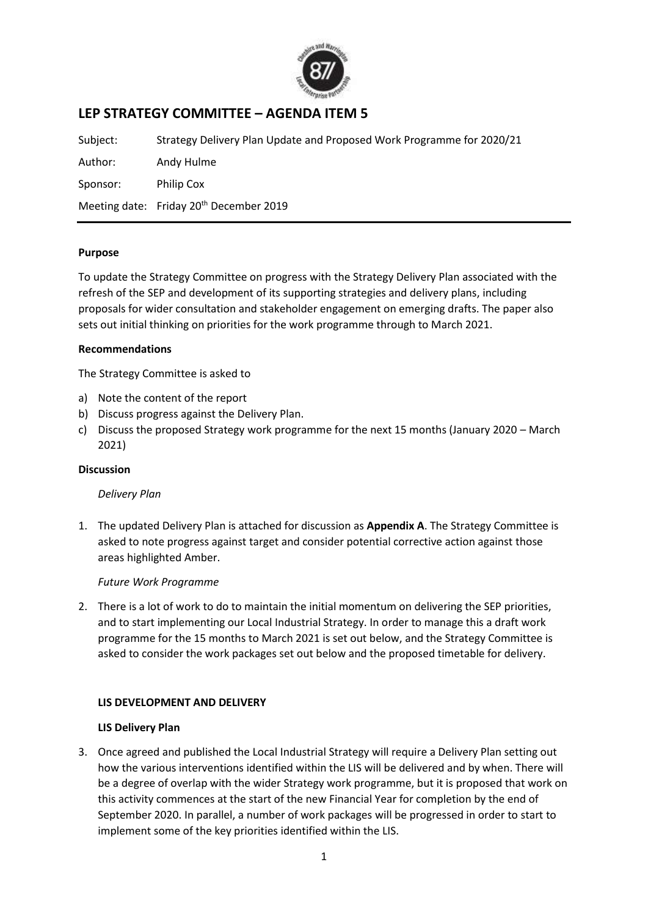

# **LEP STRATEGY COMMITTEE – AGENDA ITEM 5**

| Subject: | Strategy Delivery Plan Update and Proposed Work Programme for 2020/21 |
|----------|-----------------------------------------------------------------------|
| Author:  | Andy Hulme                                                            |
| Sponsor: | Philip Cox                                                            |
|          | Meeting date: Friday 20 <sup>th</sup> December 2019                   |

### **Purpose**

To update the Strategy Committee on progress with the Strategy Delivery Plan associated with the refresh of the SEP and development of its supporting strategies and delivery plans, including proposals for wider consultation and stakeholder engagement on emerging drafts. The paper also sets out initial thinking on priorities for the work programme through to March 2021.

#### **Recommendations**

The Strategy Committee is asked to

- a) Note the content of the report
- b) Discuss progress against the Delivery Plan.
- c) Discuss the proposed Strategy work programme for the next 15 months (January 2020 March 2021)

#### **Discussion**

#### *Delivery Plan*

1. The updated Delivery Plan is attached for discussion as **Appendix A**. The Strategy Committee is asked to note progress against target and consider potential corrective action against those areas highlighted Amber.

## *Future Work Programme*

2. There is a lot of work to do to maintain the initial momentum on delivering the SEP priorities, and to start implementing our Local Industrial Strategy. In order to manage this a draft work programme for the 15 months to March 2021 is set out below, and the Strategy Committee is asked to consider the work packages set out below and the proposed timetable for delivery.

## **LIS DEVELOPMENT AND DELIVERY**

#### **LIS Delivery Plan**

3. Once agreed and published the Local Industrial Strategy will require a Delivery Plan setting out how the various interventions identified within the LIS will be delivered and by when. There will be a degree of overlap with the wider Strategy work programme, but it is proposed that work on this activity commences at the start of the new Financial Year for completion by the end of September 2020. In parallel, a number of work packages will be progressed in order to start to implement some of the key priorities identified within the LIS.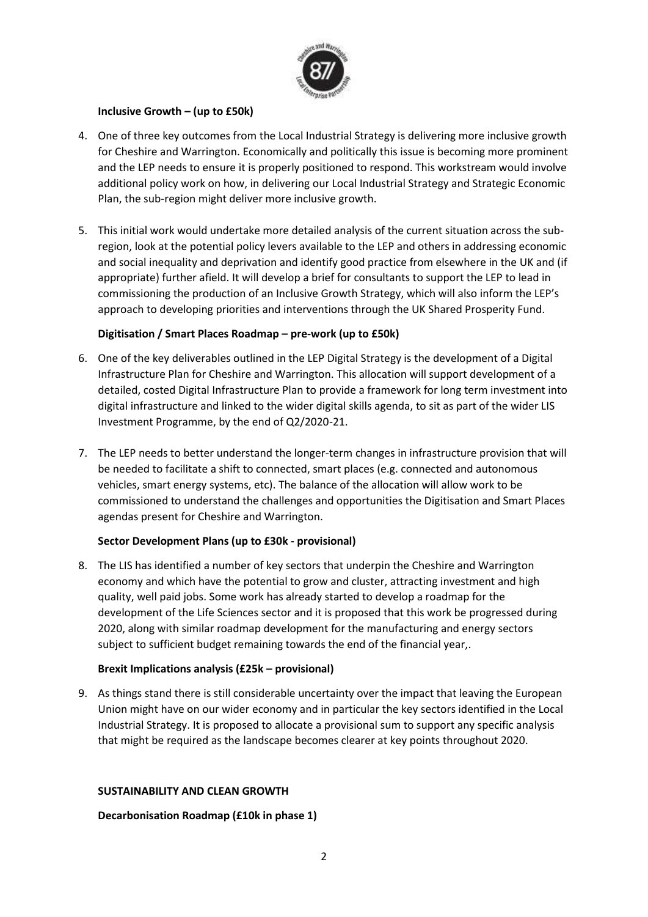

## **Inclusive Growth – (up to £50k)**

- 4. One of three key outcomes from the Local Industrial Strategy is delivering more inclusive growth for Cheshire and Warrington. Economically and politically this issue is becoming more prominent and the LEP needs to ensure it is properly positioned to respond. This workstream would involve additional policy work on how, in delivering our Local Industrial Strategy and Strategic Economic Plan, the sub-region might deliver more inclusive growth.
- 5. This initial work would undertake more detailed analysis of the current situation across the subregion, look at the potential policy levers available to the LEP and others in addressing economic and social inequality and deprivation and identify good practice from elsewhere in the UK and (if appropriate) further afield. It will develop a brief for consultants to support the LEP to lead in commissioning the production of an Inclusive Growth Strategy, which will also inform the LEP's approach to developing priorities and interventions through the UK Shared Prosperity Fund.

### **Digitisation / Smart Places Roadmap – pre-work (up to £50k)**

- 6. One of the key deliverables outlined in the LEP Digital Strategy is the development of a Digital Infrastructure Plan for Cheshire and Warrington. This allocation will support development of a detailed, costed Digital Infrastructure Plan to provide a framework for long term investment into digital infrastructure and linked to the wider digital skills agenda, to sit as part of the wider LIS Investment Programme, by the end of Q2/2020-21.
- 7. The LEP needs to better understand the longer-term changes in infrastructure provision that will be needed to facilitate a shift to connected, smart places (e.g. connected and autonomous vehicles, smart energy systems, etc). The balance of the allocation will allow work to be commissioned to understand the challenges and opportunities the Digitisation and Smart Places agendas present for Cheshire and Warrington.

## **Sector Development Plans (up to £30k - provisional)**

8. The LIS has identified a number of key sectors that underpin the Cheshire and Warrington economy and which have the potential to grow and cluster, attracting investment and high quality, well paid jobs. Some work has already started to develop a roadmap for the development of the Life Sciences sector and it is proposed that this work be progressed during 2020, along with similar roadmap development for the manufacturing and energy sectors subject to sufficient budget remaining towards the end of the financial year,.

#### **Brexit Implications analysis (£25k – provisional)**

9. As things stand there is still considerable uncertainty over the impact that leaving the European Union might have on our wider economy and in particular the key sectors identified in the Local Industrial Strategy. It is proposed to allocate a provisional sum to support any specific analysis that might be required as the landscape becomes clearer at key points throughout 2020.

#### **SUSTAINABILITY AND CLEAN GROWTH**

## **Decarbonisation Roadmap (£10k in phase 1)**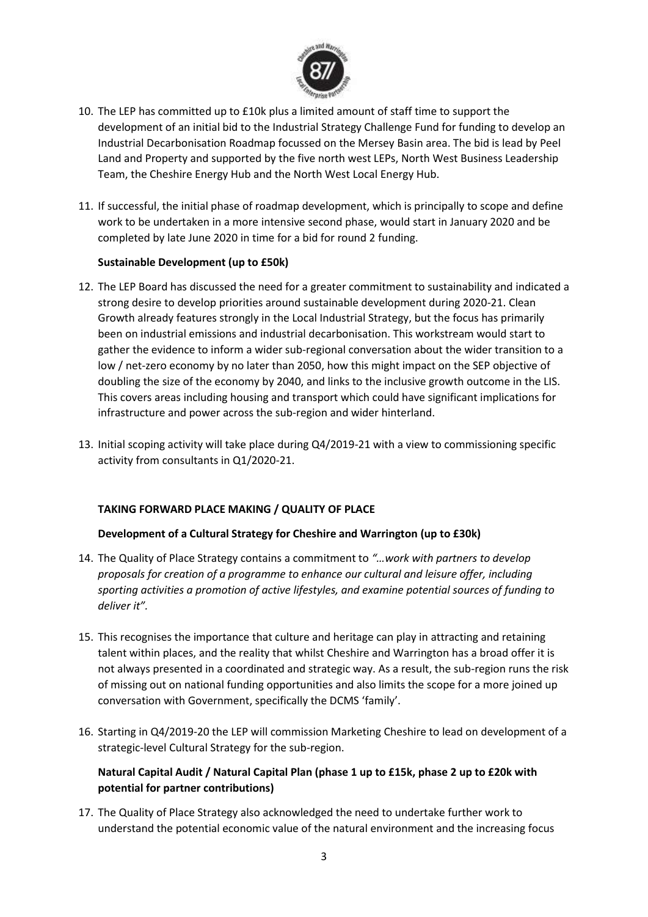

- 10. The LEP has committed up to £10k plus a limited amount of staff time to support the development of an initial bid to the Industrial Strategy Challenge Fund for funding to develop an Industrial Decarbonisation Roadmap focussed on the Mersey Basin area. The bid is lead by Peel Land and Property and supported by the five north west LEPs, North West Business Leadership Team, the Cheshire Energy Hub and the North West Local Energy Hub.
- 11. If successful, the initial phase of roadmap development, which is principally to scope and define work to be undertaken in a more intensive second phase, would start in January 2020 and be completed by late June 2020 in time for a bid for round 2 funding.

### **Sustainable Development (up to £50k)**

- 12. The LEP Board has discussed the need for a greater commitment to sustainability and indicated a strong desire to develop priorities around sustainable development during 2020-21. Clean Growth already features strongly in the Local Industrial Strategy, but the focus has primarily been on industrial emissions and industrial decarbonisation. This workstream would start to gather the evidence to inform a wider sub-regional conversation about the wider transition to a low / net-zero economy by no later than 2050, how this might impact on the SEP objective of doubling the size of the economy by 2040, and links to the inclusive growth outcome in the LIS. This covers areas including housing and transport which could have significant implications for infrastructure and power across the sub-region and wider hinterland.
- 13. Initial scoping activity will take place during Q4/2019-21 with a view to commissioning specific activity from consultants in Q1/2020-21.

## **TAKING FORWARD PLACE MAKING / QUALITY OF PLACE**

#### **Development of a Cultural Strategy for Cheshire and Warrington (up to £30k)**

- 14. The Quality of Place Strategy contains a commitment to *"…work with partners to develop proposals for creation of a programme to enhance our cultural and leisure offer, including sporting activities a promotion of active lifestyles, and examine potential sources of funding to deliver it".*
- 15. This recognises the importance that culture and heritage can play in attracting and retaining talent within places, and the reality that whilst Cheshire and Warrington has a broad offer it is not always presented in a coordinated and strategic way. As a result, the sub-region runs the risk of missing out on national funding opportunities and also limits the scope for a more joined up conversation with Government, specifically the DCMS 'family'.
- 16. Starting in Q4/2019-20 the LEP will commission Marketing Cheshire to lead on development of a strategic-level Cultural Strategy for the sub-region.

# **Natural Capital Audit / Natural Capital Plan (phase 1 up to £15k, phase 2 up to £20k with potential for partner contributions)**

17. The Quality of Place Strategy also acknowledged the need to undertake further work to understand the potential economic value of the natural environment and the increasing focus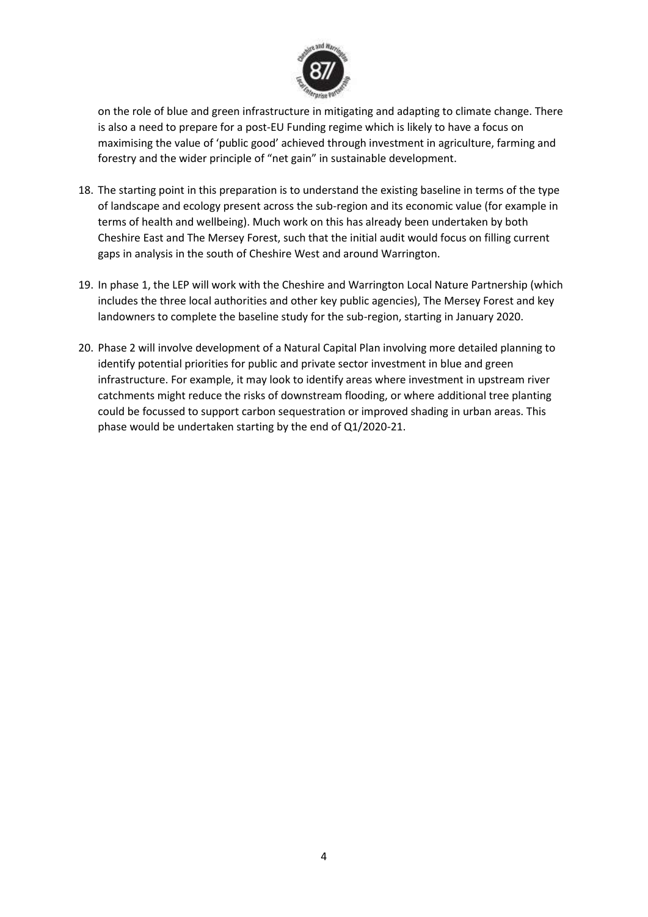

on the role of blue and green infrastructure in mitigating and adapting to climate change. There is also a need to prepare for a post-EU Funding regime which is likely to have a focus on maximising the value of 'public good' achieved through investment in agriculture, farming and forestry and the wider principle of "net gain" in sustainable development.

- 18. The starting point in this preparation is to understand the existing baseline in terms of the type of landscape and ecology present across the sub-region and its economic value (for example in terms of health and wellbeing). Much work on this has already been undertaken by both Cheshire East and The Mersey Forest, such that the initial audit would focus on filling current gaps in analysis in the south of Cheshire West and around Warrington.
- 19. In phase 1, the LEP will work with the Cheshire and Warrington Local Nature Partnership (which includes the three local authorities and other key public agencies), The Mersey Forest and key landowners to complete the baseline study for the sub-region, starting in January 2020.
- 20. Phase 2 will involve development of a Natural Capital Plan involving more detailed planning to identify potential priorities for public and private sector investment in blue and green infrastructure. For example, it may look to identify areas where investment in upstream river catchments might reduce the risks of downstream flooding, or where additional tree planting could be focussed to support carbon sequestration or improved shading in urban areas. This phase would be undertaken starting by the end of Q1/2020-21.